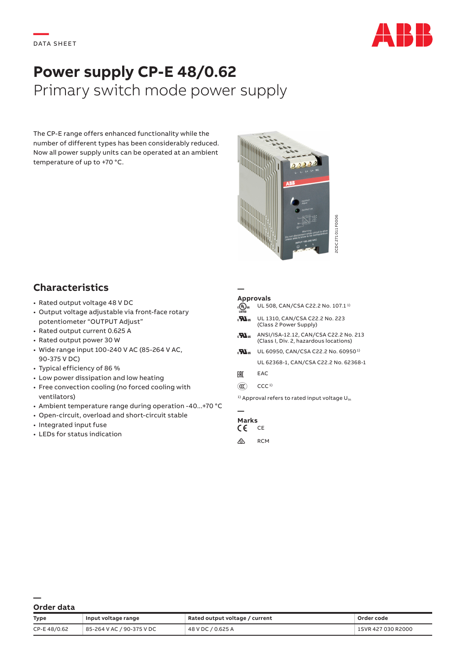

# **Power supply CP-E 48/0.62** Primary switch mode power supply

The CP-E range offers enhanced functionality while the number of different types has been considerably reduced. Now all power supply units can be operated at an ambient temperature of up to +70 °C.



# **Characteristics**

- Rated output voltage 48 V DC
- Output voltage adjustable via front-face rotary potentiometer "OUTPUT Adjust"
- Rated output current 0.625 A
- Rated output power 30 W
- Wide range input 100-240 V AC (85-264 V AC, 90-375 V DC)
- Typical efficiency of 86 %
- Low power dissipation and low heating
- Free convection cooling (no forced cooling with ventilators)
- Ambient temperature range during operation -40...+70 °C
- Open-circuit, overload and short-circuit stable
- Integrated input fuse
- LEDs for status indication

#### **— Approvals**

- $A_0$ <sub>us</sub> UL 508, CAN/CSA C22.2 No. 107.1<sup>1</sup>
- **He** UL 1310, CAN/CSA C22.2 No. 223 (Class 2 Power Supply)
- $\mathbf{H}_{\text{us}}$  ANSI/ISA-12.12, CAN/CSA C22.2 No. 213 (Class I, Div. 2, hazardous locations)
- $\mathbf{H}_{\text{us}}$  UL 60950, CAN/CSA C22.2 No. 60950<sup>1)</sup> UL 62368-1, CAN/CSA C22.2 No. 62368-1
- FHI EAC
- $(\mathbb{C})$  CCC<sup>1)</sup>

### **— Marks**<br>CF CF

- $\epsilon$
- $\otimes$  RCM

| Order data |  |
|------------|--|

|                                                                                                                                                                                                                                                    |                                                                                                                                                                                                                                                                                                                                                      |                                                                                                                                                 | 2CDC 271011 F0006                                                                                                                                                                                                                                                                                                                                                                                                                      |                                  |
|----------------------------------------------------------------------------------------------------------------------------------------------------------------------------------------------------------------------------------------------------|------------------------------------------------------------------------------------------------------------------------------------------------------------------------------------------------------------------------------------------------------------------------------------------------------------------------------------------------------|-------------------------------------------------------------------------------------------------------------------------------------------------|----------------------------------------------------------------------------------------------------------------------------------------------------------------------------------------------------------------------------------------------------------------------------------------------------------------------------------------------------------------------------------------------------------------------------------------|----------------------------------|
| <b>Characteristics</b><br>· Rated output voltage 48 V DC<br>· Rated output current 0.625 A<br>• Rated output power 30 W<br>90-375 V DC)<br>• Typical efficiency of 86 %<br>ventilators)<br>• Integrated input fuse<br>• LEDs for status indication | · Output voltage adjustable via front-face rotary<br>potentiometer "OUTPUT Adjust"<br>• Wide range input 100-240 V AC (85-264 V AC,<br>• Low power dissipation and low heating<br>• Free convection cooling (no forced cooling with<br>• Ambient temperature range during operation -40  +70 °C<br>• Open-circuit, overload and short-circuit stable | <b>Approvals</b><br>$_{c}(\Psi _{\text{L}})_{\text{us}}$<br>$\boldsymbol{M}_3$<br>$\mathbf{w}$<br>EAC<br>$\circledR$<br><b>Marks</b><br>CE<br>⚠ | UL 508, CAN/CSA C22.2 No. 107.1 <sup>1)</sup><br>UL 1310, CAN/CSA C22.2 No. 223<br>(Class 2 Power Supply)<br>ANSI/ISA-12.12, CAN/CSA C22.2 No. 213<br>(Class I, Div. 2, hazardous locations)<br><b>M</b> <sub>us</sub> UL 60950, CAN/CSA C22.2 No. 60950 <sup>1)</sup><br>UL 62368-1, CAN/CSA C22.2 No. 62368-1<br>EAC<br>CCC <sub>1</sub><br><sup>1)</sup> Approval refers to rated input voltage U <sub>in</sub><br>CE<br><b>RCM</b> |                                  |
| Order data<br>Type<br>CP-E48/0.62                                                                                                                                                                                                                  | Input voltage range<br>85-264 V AC / 90-375 V DC                                                                                                                                                                                                                                                                                                     | Rated output voltage / current<br>48 V DC / 0.625 A                                                                                             |                                                                                                                                                                                                                                                                                                                                                                                                                                        | Order code<br>1SVR 427 030 R2000 |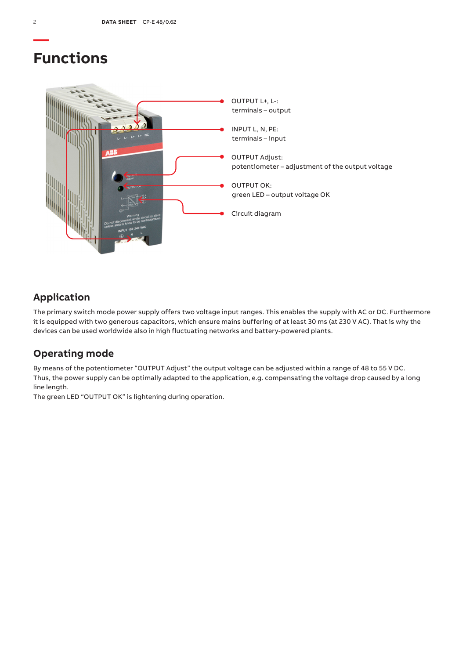# **Functions**



## **Application**

The primary switch mode power supply offers two voltage input ranges. This enables the supply with AC or DC. Furthermore it is equipped with two generous capacitors, which ensure mains buffering of at least 30 ms (at 230 V AC). That is why the devices can be used worldwide also in high fluctuating networks and battery-powered plants.

## **Operating mode**

By means of the potentiometer "OUTPUT Adjust" the output voltage can be adjusted within a range of 48 to 55 V DC. Thus, the power supply can be optimally adapted to the application, e.g. compensating the voltage drop caused by a long line length.

The green LED "OUTPUT OK" is lightening during operation.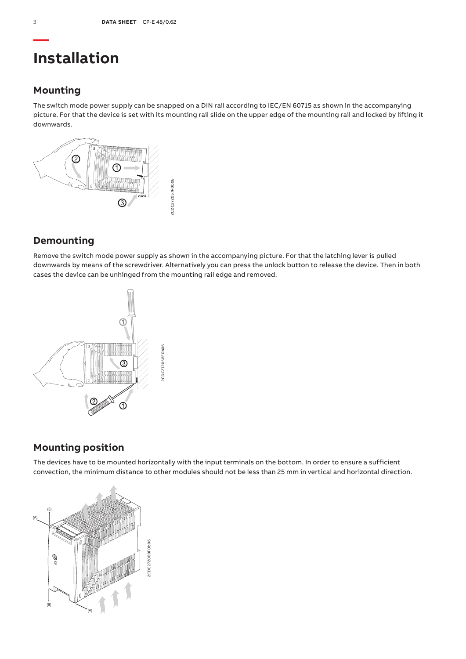# **Installation**

## **Mounting**

The switch mode power supply can be snapped on a DIN rail according to IEC/EN 60715 as shown in the accompanying picture. For that the device is set with its mounting rail slide on the upper edge of the mounting rail and locked by lifting it downwards.



## **Demounting**

Remove the switch mode power supply as shown in the accompanying picture. For that the latching lever is pulled downwards by means of the screwdriver. Alternatively you can press the unlock button to release the device. Then in both cases the device can be unhinged from the mounting rail edge and removed.



## **Mounting position**

The devices have to be mounted horizontally with the input terminals on the bottom. In order to ensure a sufficient convection, the minimum distance to other modules should not be less than 25 mm in vertical and horizontal direction.

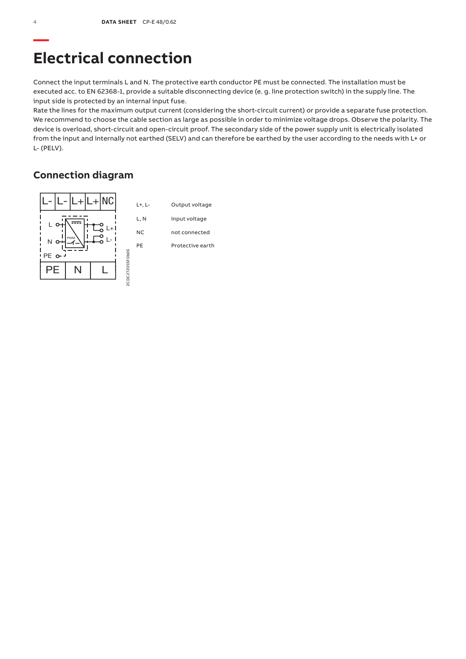# **Electrical connection**

Connect the input terminals L and N. The protective earth conductor PE must be connected. The installation must be executed acc. to EN 62368-1, provide a suitable disconnecting device (e. g. line protection switch) in the supply line. The input side is protected by an internal input fuse.

Rate the lines for the maximum output current (considering the short-circuit current) or provide a separate fuse protection. We recommend to choose the cable section as large as possible in order to minimize voltage drops. Observe the polarity. The device is overload, short-circuit and open-circuit proof. The secondary side of the power supply unit is electrically isolated from the input and internally not earthed (SELV) and can therefore be earthed by the user according to the needs with L+ or L- (PELV).

## **Connection diagram**

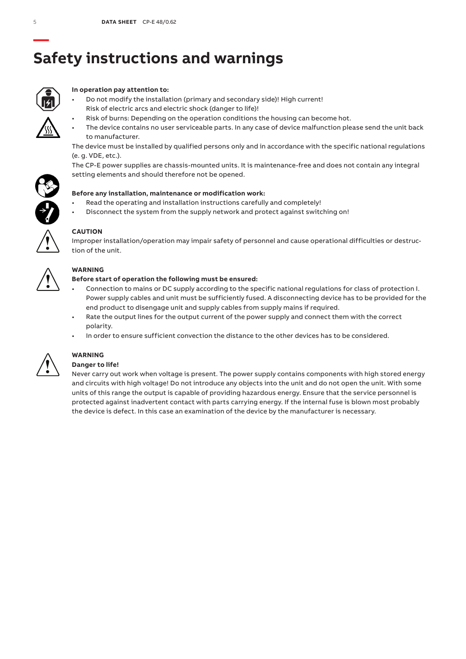# **— Safety instructions and warnings**



### **In operation pay attention to:**

- Do not modify the installation (primary and secondary side)! High current! Risk of electric arcs and electric shock (danger to life)!
	- Risk of burns: Depending on the operation conditions the housing can become hot.
- The device contains no user serviceable parts. In any case of device malfunction please send the unit back to manufacturer.

The device must be installed by qualified persons only and in accordance with the specific national regulations (e. g. VDE, etc.).

The CP-E power supplies are chassis-mounted units. It is maintenance-free and does not contain any integral setting elements and should therefore not be opened.



- Read the operating and installation instructions carefully and completely!
- Disconnect the system from the supply network and protect against switching on!



## **CAUTION**

Improper installation/operation may impair safety of personnel and cause operational difficulties or destruction of the unit.



### **WARNING**

### **Before start of operation the following must be ensured:**

- Connection to mains or DC supply according to the specific national regulations for class of protection I. Power supply cables and unit must be sufficiently fused. A disconnecting device has to be provided for the end product to disengage unit and supply cables from supply mains if required.
- Rate the output lines for the output current of the power supply and connect them with the correct polarity.
- In order to ensure sufficient convection the distance to the other devices has to be considered.



## **WARNING**

### **Danger to life!**

Never carry out work when voltage is present. The power supply contains components with high stored energy and circuits with high voltage! Do not introduce any objects into the unit and do not open the unit. With some units of this range the output is capable of providing hazardous energy. Ensure that the service personnel is protected against inadvertent contact with parts carrying energy. If the internal fuse is blown most probably the device is defect. In this case an examination of the device by the manufacturer is necessary.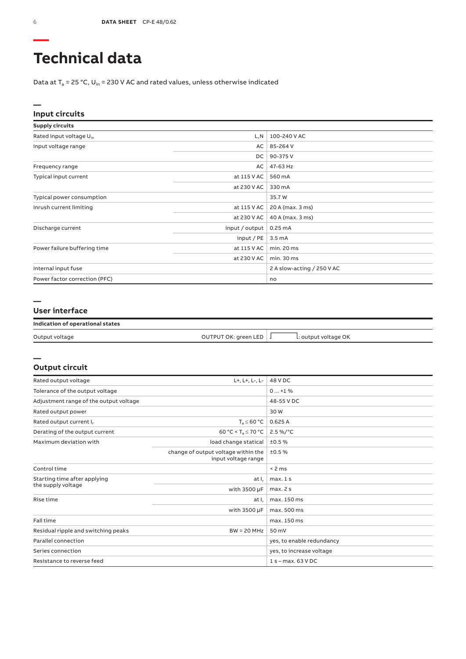# **Technical data**

Data at  $T_a$  = 25 °C, U<sub>in</sub> = 230 V AC and rated values, unless otherwise indicated

#### **— Input circuits**

| <b>Supply circuits</b>              |                |                            |
|-------------------------------------|----------------|----------------------------|
| Rated input voltage U <sub>in</sub> | L, N           | 100-240 V AC               |
| Input voltage range                 | AC             | 85-264 V                   |
|                                     | DC             | 90-375V                    |
| Frequency range                     | AC             | 47-63 Hz                   |
| Typical input current               | at 115 V AC    | 560 mA                     |
|                                     | at 230 V AC    | 330 mA                     |
| Typical power consumption           |                | 35.7 W                     |
| Inrush current limiting             | at 115 V AC    | 20 A (max. 3 ms)           |
|                                     | at 230 V AC    | 40 A (max. 3 ms)           |
| Discharge current                   | input / output | 0.25mA                     |
|                                     | input/PE       | 3.5 <sub>m</sub> A         |
| Power failure buffering time        | at 115 V AC    | min. 20 ms                 |
|                                     | at 230 V AC    | min. 30 ms                 |
| Internal input fuse                 |                | 2 A slow-acting / 250 V AC |
| Power factor correction (PFC)       |                | no                         |

#### **—**

**—**

#### **User interface**

| Indication of operational states |                      |                      |  |
|----------------------------------|----------------------|----------------------|--|
| Output voltage                   | OUTPUT OK: green LED | L: output voltage OK |  |

### **Output circuit**

| L+, L+, L-, L-<br>Rated output voltage |                                                            | 48 V DC                   |
|----------------------------------------|------------------------------------------------------------|---------------------------|
| Tolerance of the output voltage        |                                                            | $0+1$ %                   |
| Adjustment range of the output voltage |                                                            | 48-55 V DC                |
| Rated output power                     |                                                            | 30W                       |
| Rated output current I,                | $T_a \leq 60 °C$                                           | 0.625A                    |
| Derating of the output current         | 60 °C < $T_a \le 70$ °C                                    | $2.5\%$ /°C               |
| Maximum deviation with                 | load change statical                                       | ±0.5%                     |
|                                        | change of output voltage within the<br>input voltage range | ±0.5%                     |
| Control time                           |                                                            | < 2 ms                    |
| Starting time after applying           | at I.                                                      | max.1s                    |
| the supply voltage                     | with $3500 \mu F$                                          | max.2s                    |
| Rise time                              | at I,                                                      | max. 150 ms               |
|                                        | with 3500 µF                                               | max. 500 ms               |
| Fall time                              |                                                            | max. 150 ms               |
| Residual ripple and switching peaks    | $BW = 20 MHz$                                              | 50 mV                     |
| Parallel connection                    |                                                            | yes, to enable redundancy |
| Series connection                      |                                                            | yes, to increase voltage  |
| Resistance to reverse feed             |                                                            | $1 s - max. 63 VDC$       |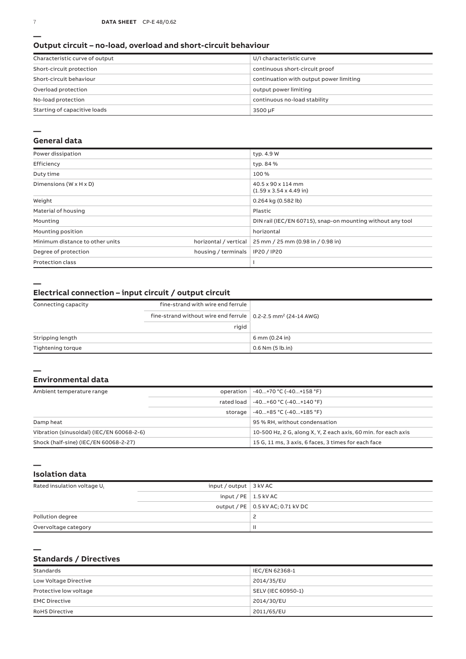#### **Output circuit – no-load, overload and short-circuit behaviour**

| Characteristic curve of output | U/I characteristic curve                |
|--------------------------------|-----------------------------------------|
| Short-circuit protection       | continuous short-circuit proof          |
| Short-circuit behaviour        | continuation with output power limiting |
| Overload protection            | output power limiting                   |
| No-load protection             | continuous no-load stability            |
| Starting of capacitive loads   | 3500 µF                                 |

#### **—**

#### **General data**

| Power dissipation                    |                       | typ. 4.9 W                                                 |  |
|--------------------------------------|-----------------------|------------------------------------------------------------|--|
| Efficiency                           |                       | typ. 84 %                                                  |  |
| Duty time                            |                       | 100%                                                       |  |
| Dimensions ( $W \times H \times D$ ) |                       | 40.5 x 90 x 114 mm<br>$(1.59 \times 3.54 \times 4.49)$ in) |  |
| Weight                               |                       | 0.264 kg (0.582 lb)                                        |  |
| Material of housing                  |                       | Plastic                                                    |  |
| Mounting                             |                       | DIN rail (IEC/EN 60715), snap-on mounting without any tool |  |
| Mounting position                    |                       | horizontal                                                 |  |
| Minimum distance to other units      | horizontal / vertical | 25 mm / 25 mm (0.98 in / 0.98 in)                          |  |
| Degree of protection                 | housing / terminals   | IP20 / IP20                                                |  |
| <b>Protection class</b>              |                       |                                                            |  |

**—**

#### **Electrical connection – input circuit / output circuit**

| Connecting capacity | fine-strand with wire end ferrule                                                |                      |  |
|---------------------|----------------------------------------------------------------------------------|----------------------|--|
|                     | fine-strand without wire end ferrule $\vert$ 0.2-2.5 mm <sup>2</sup> (24-14 AWG) |                      |  |
|                     | rigid                                                                            |                      |  |
| Stripping length    |                                                                                  | 6 mm (0.24 in)       |  |
| Tightening torque   |                                                                                  | $0.6$ Nm $(5$ lb.in) |  |

#### **— Environmental data**

| Ambient temperature range                 |            | operation   -40+70 °C (-40+158 °F)                             |
|-------------------------------------------|------------|----------------------------------------------------------------|
|                                           | rated load | $-40+60 °C (-40+140 °F)$                                       |
|                                           | storage    | -40+85 °C (-40+185 °F)                                         |
| Damp heat                                 |            | 95 % RH, without condensation                                  |
| Vibration (sinusoidal) (IEC/EN 60068-2-6) |            | 10-500 Hz, 2 G, along X, Y, Z each axis, 60 min. for each axis |
| Shock (half-sine) (IEC/EN 60068-2-27)     |            | 15 G, 11 ms, 3 axis, 6 faces, 3 times for each face            |

**— Isolation data**

**—**

| Rated insulation voltage U <sub>i</sub> | input / output $\vert$ 3 kV AC |                                     |
|-----------------------------------------|--------------------------------|-------------------------------------|
|                                         | input / $PE$   1.5 kV AC       |                                     |
|                                         |                                | output / PE   0.5 kV AC; 0.71 kV DC |
| Pollution degree                        |                                |                                     |
| Overvoltage category                    |                                | Ш                                   |

### **Standards / Directives**

| Standards              | IEC/EN 62368-1     |
|------------------------|--------------------|
| Low Voltage Directive  | 2014/35/EU         |
| Protective low voltage | SELV (IEC 60950-1) |
| <b>EMC Directive</b>   | 2014/30/EU         |
| <b>RoHS Directive</b>  | 2011/65/EU         |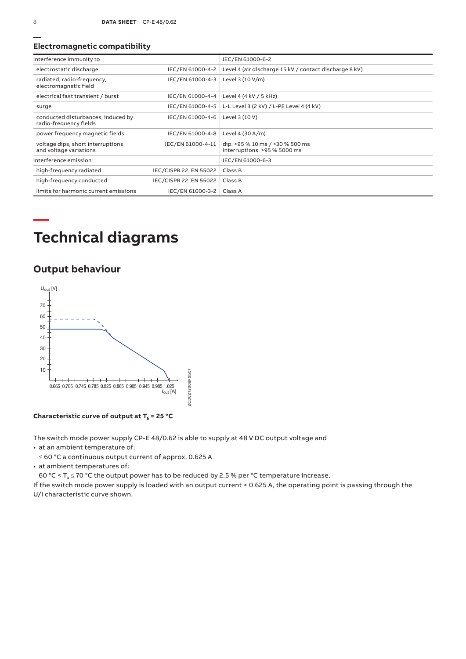#### **Electromagnetic compatibility**

| Interference immunity to                                     |                        | IEC/EN 61000-6-2                                                |
|--------------------------------------------------------------|------------------------|-----------------------------------------------------------------|
| electrostatic discharge                                      | IEC/EN 61000-4-2       | Level 4 (air discharge 15 kV / contact discharge 8 kV)          |
| radiated, radio-frequency,<br>electromagnetic field          | IEC/EN 61000-4-3       | Level 3 (10 V/m)                                                |
| electrical fast transient / burst                            | IEC/EN 61000-4-4       | Level 4 (4 kV / 5 kHz)                                          |
| surge                                                        | IEC/EN 61000-4-5       | L-L Level 3 (2 kV) / L-PE Level 4 (4 kV)                        |
| conducted disturbances, induced by<br>radio-frequency fields | IEC/EN 61000-4-6       | Level 3 (10 V)                                                  |
| power frequency magnetic fields                              | IEC/EN 61000-4-8       | Level 4 (30 A/m)                                                |
| voltage dips, short interruptions<br>and voltage variations  | IEC/EN 61000-4-11      | dip: >95 % 10 ms / >30 % 500 ms<br>interruptions: >95 % 5000 ms |
| Interference emission                                        |                        | IEC/EN 61000-6-3                                                |
| high-frequency radiated                                      | IEC/CISPR 22, EN 55022 | Class B                                                         |
| high-frequency conducted                                     | IEC/CISPR 22, EN 55022 | Class B                                                         |
| limits for harmonic current emissions                        | IEC/EN 61000-3-2       | Class A                                                         |

# **Technical diagrams**

## **Output behaviour**



Characteristic curve of output at  $T_a = 25 °C$ 

The switch mode power supply CP‑E 48/0.62 is able to supply at 48 V DC output voltage and

• at an ambient temperature of:

≤ 60 °C a continuous output current of approx. 0.625 A

• at ambient temperatures of:

60 °C <  $T_a \le 70$  °C the output power has to be reduced by 2.5 % per °C temperature increase.

If the switch mode power supply is loaded with an output current > 0.625 A, the operating point is passing through the U/I characteristic curve shown.

**—**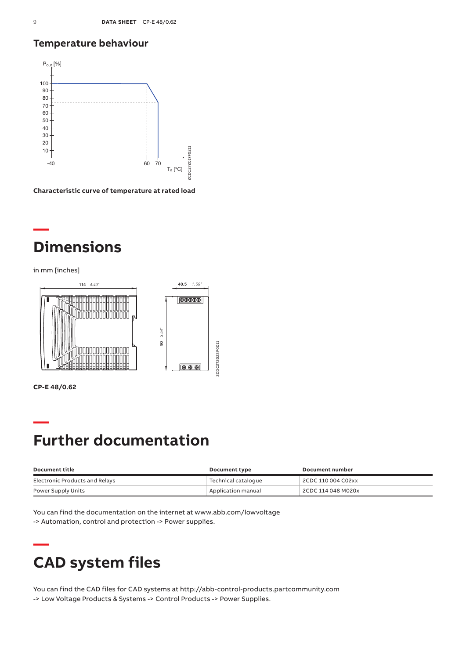## **Temperature behaviour**



**Characteristic curve of temperature at rated load**

# **— Dimensions**

in mm [inches]



**CP-E 48/0.62**

**—**

# **— Further documentation**

| Document title                 | Document type       | Document number    |
|--------------------------------|---------------------|--------------------|
| Electronic Products and Relays | Technical cataloque | 2CDC 110 004 C02xx |
| Power Supply Units             | Application manual  | 2CDC 114 048 M020x |

You can find the documentation on the internet at www.abb.com/lowvoltage -> Automation, control and protection -> Power supplies.

# **CAD system files**

You can find the CAD files for CAD systems at http://abb-control-products.partcommunity.com -> Low Voltage Products & Systems -> Control Products -> Power Supplies.